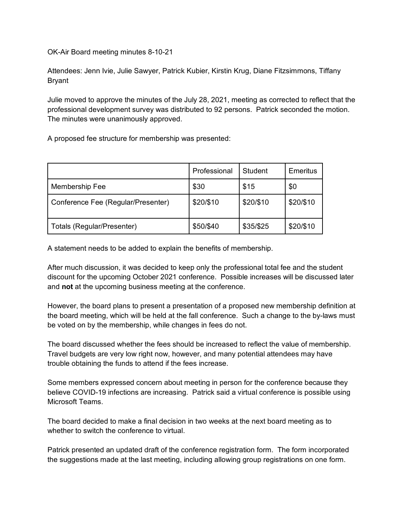OK-Air Board meeting minutes 8-10-21

Attendees: Jenn Ivie, Julie Sawyer, Patrick Kubier, Kirstin Krug, Diane Fitzsimmons, Tiffany Bryant

Julie moved to approve the minutes of the July 28, 2021, meeting as corrected to reflect that the professional development survey was distributed to 92 persons. Patrick seconded the motion. The minutes were unanimously approved.

A proposed fee structure for membership was presented:

|                                    | Professional | Student   | Emeritus  |
|------------------------------------|--------------|-----------|-----------|
| Membership Fee                     | \$30         | \$15      | \$0       |
| Conference Fee (Regular/Presenter) | \$20/\$10    | \$20/\$10 | \$20/\$10 |
| Totals (Regular/Presenter)         | \$50/\$40    | \$35/\$25 | \$20/\$10 |

A statement needs to be added to explain the benefits of membership.

After much discussion, it was decided to keep only the professional total fee and the student discount for the upcoming October 2021 conference. Possible increases will be discussed later and **not** at the upcoming business meeting at the conference.

However, the board plans to present a presentation of a proposed new membership definition at the board meeting, which will be held at the fall conference. Such a change to the by-laws must be voted on by the membership, while changes in fees do not.

The board discussed whether the fees should be increased to reflect the value of membership. Travel budgets are very low right now, however, and many potential attendees may have trouble obtaining the funds to attend if the fees increase.

Some members expressed concern about meeting in person for the conference because they believe COVID-19 infections are increasing. Patrick said a virtual conference is possible using Microsoft Teams.

The board decided to make a final decision in two weeks at the next board meeting as to whether to switch the conference to virtual.

Patrick presented an updated draft of the conference registration form. The form incorporated the suggestions made at the last meeting, including allowing group registrations on one form.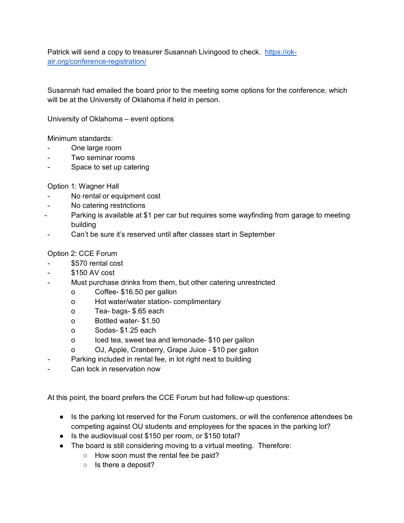Patrick will send a copy to treasurer Susannah Livingood to check. [https://ok](https://ok-air.org/conference-registration/)[air.org/conference-registration/](https://ok-air.org/conference-registration/)

Susannah had emailed the board prior to the meeting some options for the conference, which will be at the University of Oklahoma if held in person.

University of Oklahoma – event options

Minimum standards:

- One large room
- Two seminar rooms
- Space to set up catering

Option 1: Wagner Hall

- No rental or equipment cost
- No catering restrictions
- Parking is available at \$1 per car but requires some wayfinding from garage to meeting building
- Can't be sure it's reserved until after classes start in September

## Option 2: CCE Forum

- \$570 rental cost
- \$150 AV cost
- Must purchase drinks from them, but other catering unrestricted
	- o Coffee- \$16.50 per gallon
	- o Hot water/water station- complimentary
	- o Tea- bags- \$.65 each
	- o Bottled water- \$1.50
	- o Sodas- \$1.25 each
	- o Iced tea, sweet tea and lemonade- \$10 per gallon
	- o OJ, Apple, Cranberry, Grape Juice \$10 per gallon
- Parking included in rental fee, in lot right next to building
- Can lock in reservation now

At this point, the board prefers the CCE Forum but had follow-up questions:

- Is the parking lot reserved for the Forum customers, or will the conference attendees be competing against OU students and employees for the spaces in the parking lot?
- Is the audiovisual cost \$150 per room, or \$150 total?
- The board is still considering moving to a virtual meeting. Therefore:
	- How soon must the rental fee be paid?
		- Is there a deposit?